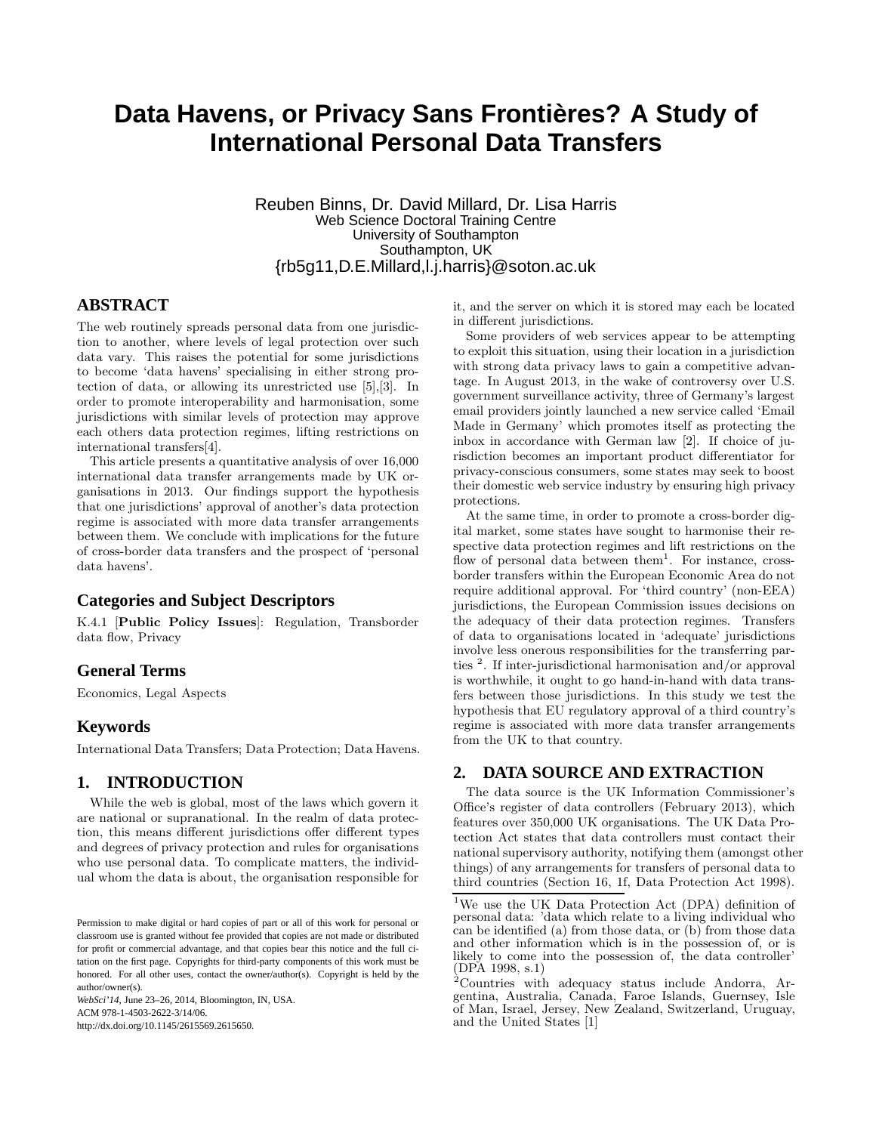# **Data Havens, or Privacy Sans Frontières? A Study of International Personal Data Transfers**

Reuben Binns, Dr. David Millard, Dr. Lisa Harris Web Science Doctoral Training Centre University of Southampton Southampton, UK {rb5g11,D.E.Millard,l.j.harris}@soton.ac.uk

# **ABSTRACT**

The web routinely spreads personal data from one jurisdiction to another, where levels of legal protection over such data vary. This raises the potential for some jurisdictions to become 'data havens' specialising in either strong protection of data, or allowing its unrestricted use [5],[3]. In order to promote interoperability and harmonisation, some jurisdictions with similar levels of protection may approve each others data protection regimes, lifting restrictions on international transfers[4].

This article presents a quantitative analysis of over 16,000 international data transfer arrangements made by UK organisations in 2013. Our findings support the hypothesis that one jurisdictions' approval of another's data protection regime is associated with more data transfer arrangements between them. We conclude with implications for the future of cross-border data transfers and the prospect of 'personal data havens'.

#### **Categories and Subject Descriptors**

K.4.1 [Public Policy Issues]: Regulation, Transborder data flow, Privacy

#### **General Terms**

Economics, Legal Aspects

#### **Keywords**

International Data Transfers; Data Protection; Data Havens.

# **1. INTRODUCTION**

While the web is global, most of the laws which govern it are national or supranational. In the realm of data protection, this means different jurisdictions offer different types and degrees of privacy protection and rules for organisations who use personal data. To complicate matters, the individual whom the data is about, the organisation responsible for

*WebSci'14,* June 23–26, 2014, Bloomington, IN, USA. ACM 978-1-4503-2622-3/14/06. http://dx.doi.org/10.1145/2615569.2615650.

it, and the server on which it is stored may each be located in different jurisdictions.

Some providers of web services appear to be attempting to exploit this situation, using their location in a jurisdiction with strong data privacy laws to gain a competitive advantage. In August 2013, in the wake of controversy over U.S. government surveillance activity, three of Germany's largest email providers jointly launched a new service called 'Email Made in Germany' which promotes itself as protecting the inbox in accordance with German law [2]. If choice of jurisdiction becomes an important product differentiator for privacy-conscious consumers, some states may seek to boost their domestic web service industry by ensuring high privacy protections.

At the same time, in order to promote a cross-border digital market, some states have sought to harmonise their respective data protection regimes and lift restrictions on the flow of personal data between them<sup>1</sup>. For instance, crossborder transfers within the European Economic Area do not require additional approval. For 'third country' (non-EEA) jurisdictions, the European Commission issues decisions on the adequacy of their data protection regimes. Transfers of data to organisations located in 'adequate' jurisdictions involve less onerous responsibilities for the transferring parties <sup>2</sup> . If inter-jurisdictional harmonisation and/or approval is worthwhile, it ought to go hand-in-hand with data transfers between those jurisdictions. In this study we test the hypothesis that EU regulatory approval of a third country's regime is associated with more data transfer arrangements from the UK to that country.

#### **2. DATA SOURCE AND EXTRACTION**

The data source is the UK Information Commissioner's Office's register of data controllers (February 2013), which features over 350,000 UK organisations. The UK Data Protection Act states that data controllers must contact their national supervisory authority, notifying them (amongst other things) of any arrangements for transfers of personal data to third countries (Section 16, 1f, Data Protection Act 1998).

Permission to make digital or hard copies of part or all of this work for personal or classroom use is granted without fee provided that copies are not made or distributed for profit or commercial advantage, and that copies bear this notice and the full citation on the first page. Copyrights for third-party components of this work must be honored. For all other uses, contact the owner/author(s). Copyright is held by the author/owner(s).

<sup>1</sup>We use the UK Data Protection Act (DPA) definition of personal data: 'data which relate to a living individual who can be identified (a) from those data, or (b) from those data and other information which is in the possession of, or is likely to come into the possession of, the data controller' (DPA 1998, s.1)

 $2^2$ Countries with adequacy status include Andorra, Argentina, Australia, Canada, Faroe Islands, Guernsey, Isle of Man, Israel, Jersey, New Zealand, Switzerland, Uruguay, and the United States [1]